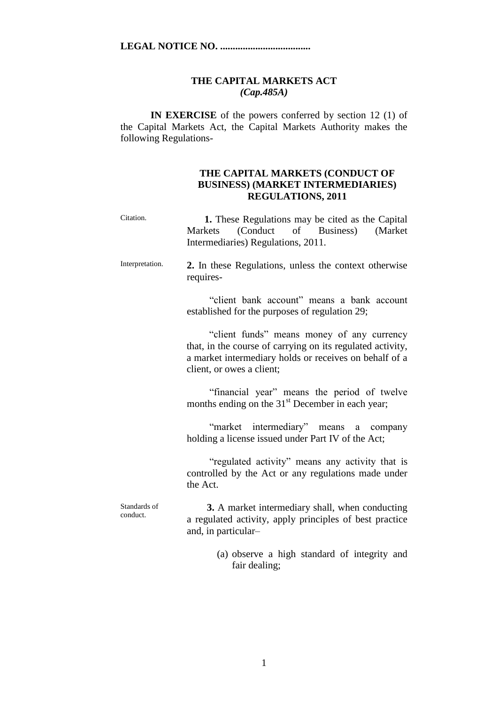## **THE CAPITAL MARKETS ACT** *(Cap.485A)*

**IN EXERCISE** of the powers conferred by section 12 (1) of the Capital Markets Act, the Capital Markets Authority makes the following Regulations-

## **THE CAPITAL MARKETS (CONDUCT OF BUSINESS) (MARKET INTERMEDIARIES) REGULATIONS, 2011**

| Citation.                | 1. These Regulations may be cited as the Capital<br>(Conduct of Business)<br>(Market)<br><b>Markets</b><br>Intermediaries) Regulations, 2011.                                                   |
|--------------------------|-------------------------------------------------------------------------------------------------------------------------------------------------------------------------------------------------|
| Interpretation.          | 2. In these Regulations, unless the context otherwise<br>requires-                                                                                                                              |
|                          | "client bank account" means a bank account<br>established for the purposes of regulation 29;                                                                                                    |
|                          | "client funds" means money of any currency<br>that, in the course of carrying on its regulated activity,<br>a market intermediary holds or receives on behalf of a<br>client, or owes a client; |
|                          | "financial year" means the period of twelve<br>months ending on the 31 <sup>st</sup> December in each year;                                                                                     |
|                          | "market intermediary" means a company<br>holding a license issued under Part IV of the Act;                                                                                                     |
|                          | "regulated activity" means any activity that is<br>controlled by the Act or any regulations made under<br>the Act.                                                                              |
| Standards of<br>conduct. | 3. A market intermediary shall, when conducting<br>a regulated activity, apply principles of best practice<br>and, in particular-                                                               |
|                          | (a) observe a high standard of integrity and<br>fair dealing;                                                                                                                                   |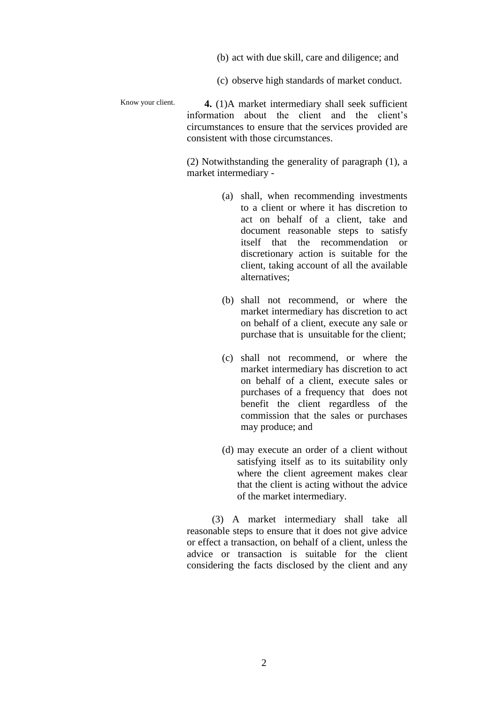- (b) act with due skill, care and diligence; and
- (c) observe high standards of market conduct.

Know your client.  **4.** (1)A market intermediary shall seek sufficient information about the client and the client's circumstances to ensure that the services provided are consistent with those circumstances.

> (2) Notwithstanding the generality of paragraph (1), a market intermediary -

- (a) shall, when recommending investments to a client or where it has discretion to act on behalf of a client, take and document reasonable steps to satisfy itself that the recommendation or discretionary action is suitable for the client, taking account of all the available alternatives;
- (b) shall not recommend, or where the market intermediary has discretion to act on behalf of a client, execute any sale or purchase that is unsuitable for the client;
- (c) shall not recommend, or where the market intermediary has discretion to act on behalf of a client, execute sales or purchases of a frequency that does not benefit the client regardless of the commission that the sales or purchases may produce; and
- (d) may execute an order of a client without satisfying itself as to its suitability only where the client agreement makes clear that the client is acting without the advice of the market intermediary.

 (3) A market intermediary shall take all reasonable steps to ensure that it does not give advice or effect a transaction, on behalf of a client, unless the advice or transaction is suitable for the client considering the facts disclosed by the client and any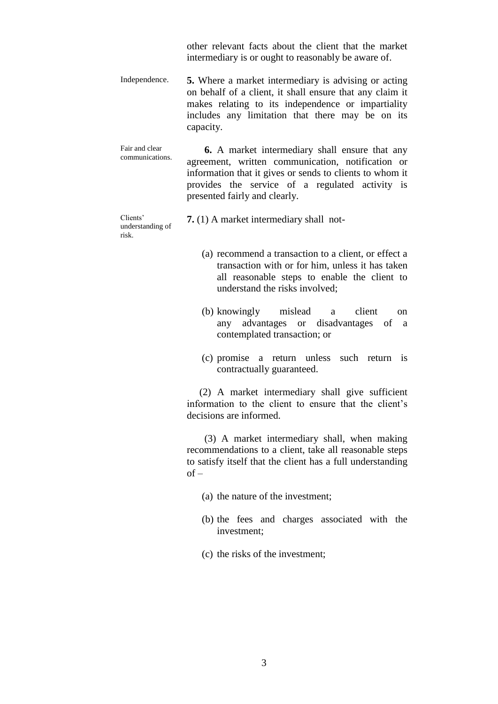other relevant facts about the client that the market intermediary is or ought to reasonably be aware of.

Independence. **5.** Where a market intermediary is advising or acting on behalf of a client, it shall ensure that any claim it makes relating to its independence or impartiality includes any limitation that there may be on its capacity.

Fair and clear communications.  **6.** A market intermediary shall ensure that any agreement, written communication, notification or information that it gives or sends to clients to whom it provides the service of a regulated activity is presented fairly and clearly.

Clients' understanding of risk.

**7.** (1) A market intermediary shall not-

- (a) recommend a transaction to a client, or effect a transaction with or for him, unless it has taken all reasonable steps to enable the client to understand the risks involved;
- (b) knowingly mislead a client on any advantages or disadvantages of a contemplated transaction; or
- (c) promise a return unless such return is contractually guaranteed.

 (2) A market intermediary shall give sufficient information to the client to ensure that the client's decisions are informed.

 (3) A market intermediary shall, when making recommendations to a client, take all reasonable steps to satisfy itself that the client has a full understanding  $of -$ 

- (a) the nature of the investment;
- (b) the fees and charges associated with the investment;
- (c) the risks of the investment;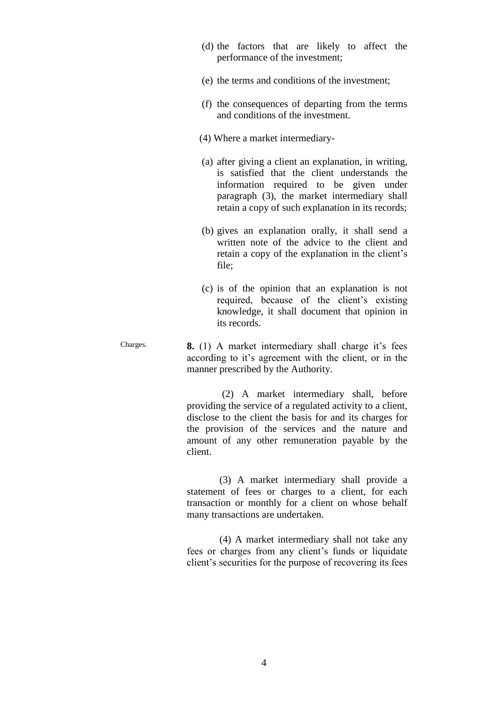- (d) the factors that are likely to affect the performance of the investment;
- (e) the terms and conditions of the investment;
- (f) the consequences of departing from the terms and conditions of the investment.
- (4) Where a market intermediary-
- (a) after giving a client an explanation, in writing, is satisfied that the client understands the information required to be given under paragraph (3), the market intermediary shall retain a copy of such explanation in its records;
- (b) gives an explanation orally, it shall send a written note of the advice to the client and retain a copy of the explanation in the client's file;
- (c) is of the opinion that an explanation is not required, because of the client's existing knowledge, it shall document that opinion in its records.
- Charges. **8.** (1) A market intermediary shall charge it's fees according to it's agreement with the client, or in the manner prescribed by the Authority.

 (2) A market intermediary shall, before providing the service of a regulated activity to a client, disclose to the client the basis for and its charges for the provision of the services and the nature and amount of any other remuneration payable by the client.

 (3) A market intermediary shall provide a statement of fees or charges to a client, for each transaction or monthly for a client on whose behalf many transactions are undertaken.

 (4) A market intermediary shall not take any fees or charges from any client's funds or liquidate client's securities for the purpose of recovering its fees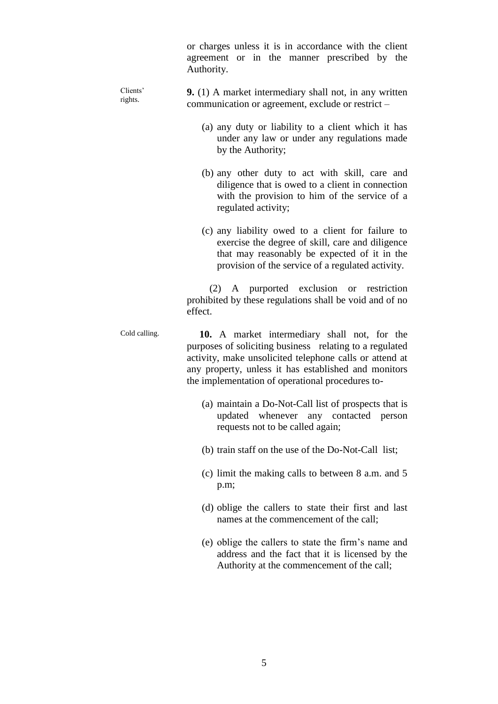|                     | or charges unless it is in accordance with the client<br>agreement or in the manner prescribed by the<br>Authority.                                                                                                                                                            |
|---------------------|--------------------------------------------------------------------------------------------------------------------------------------------------------------------------------------------------------------------------------------------------------------------------------|
| Clients'<br>rights. | 9. (1) A market intermediary shall not, in any written<br>communication or agreement, exclude or restrict –                                                                                                                                                                    |
|                     | (a) any duty or liability to a client which it has<br>under any law or under any regulations made<br>by the Authority;                                                                                                                                                         |
|                     | (b) any other duty to act with skill, care and<br>diligence that is owed to a client in connection<br>with the provision to him of the service of a<br>regulated activity;                                                                                                     |
|                     | (c) any liability owed to a client for failure to<br>exercise the degree of skill, care and diligence<br>that may reasonably be expected of it in the<br>provision of the service of a regulated activity.                                                                     |
|                     | (2) A purported exclusion or restriction<br>prohibited by these regulations shall be void and of no<br>effect.                                                                                                                                                                 |
| Cold calling.       | 10. A market intermediary shall not, for the<br>purposes of soliciting business relating to a regulated<br>activity, make unsolicited telephone calls or attend at<br>any property, unless it has established and monitors<br>the implementation of operational procedures to- |
|                     | (a) maintain a Do-Not-Call list of prospects that is<br>updated whenever any contacted person<br>requests not to be called again;                                                                                                                                              |
|                     | (b) train staff on the use of the Do-Not-Call list;                                                                                                                                                                                                                            |
|                     | (c) limit the making calls to between 8 a.m. and 5<br>p.m;                                                                                                                                                                                                                     |
|                     | (d) oblige the callers to state their first and last<br>names at the commencement of the call;                                                                                                                                                                                 |
|                     | (e) oblige the callers to state the firm's name and<br>address and the fact that it is licensed by the<br>Authority at the commencement of the call;                                                                                                                           |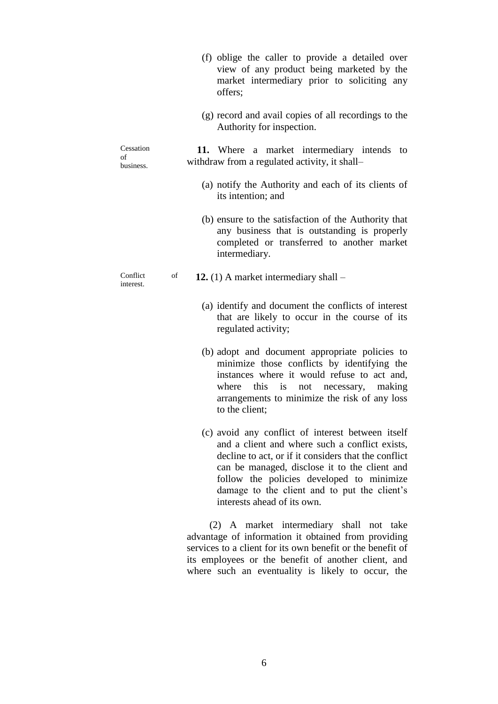- (f) oblige the caller to provide a detailed over view of any product being marketed by the market intermediary prior to soliciting any offers; (g) record and avail copies of all recordings to the Authority for inspection. Cessation of business.  **11.** Where a market intermediary intends to withdraw from a regulated activity, it shall– (a) notify the Authority and each of its clients of its intention; and (b) ensure to the satisfaction of the Authority that any business that is outstanding is properly completed or transferred to another market intermediary. Conflict of interest. **12.** (1) A market intermediary shall – (a) identify and document the conflicts of interest that are likely to occur in the course of its regulated activity; (b) adopt and document appropriate policies to minimize those conflicts by identifying the instances where it would refuse to act and, where this is not necessary, making arrangements to minimize the risk of any loss to the client; (c) avoid any conflict of interest between itself
	- and a client and where such a conflict exists, decline to act, or if it considers that the conflict can be managed, disclose it to the client and follow the policies developed to minimize damage to the client and to put the client's interests ahead of its own.

 (2) A market intermediary shall not take advantage of information it obtained from providing services to a client for its own benefit or the benefit of its employees or the benefit of another client, and where such an eventuality is likely to occur, the

6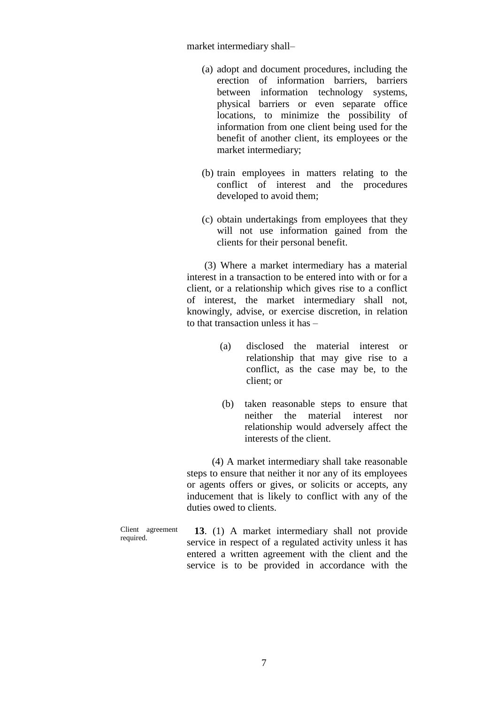market intermediary shall–

- (a) adopt and document procedures, including the erection of information barriers, barriers between information technology systems, physical barriers or even separate office locations, to minimize the possibility of information from one client being used for the benefit of another client, its employees or the market intermediary;
- (b) train employees in matters relating to the conflict of interest and the procedures developed to avoid them;
- (c) obtain undertakings from employees that they will not use information gained from the clients for their personal benefit.

 (3) Where a market intermediary has a material interest in a transaction to be entered into with or for a client, or a relationship which gives rise to a conflict of interest, the market intermediary shall not, knowingly, advise, or exercise discretion, in relation to that transaction unless it has –

- (a) disclosed the material interest or relationship that may give rise to a conflict, as the case may be, to the client; or
- (b) taken reasonable steps to ensure that neither the material interest nor relationship would adversely affect the interests of the client.

 (4) A market intermediary shall take reasonable steps to ensure that neither it nor any of its employees or agents offers or gives, or solicits or accepts, any inducement that is likely to conflict with any of the duties owed to clients.

Client agreement required.

 **13**. (1) A market intermediary shall not provide service in respect of a regulated activity unless it has entered a written agreement with the client and the service is to be provided in accordance with the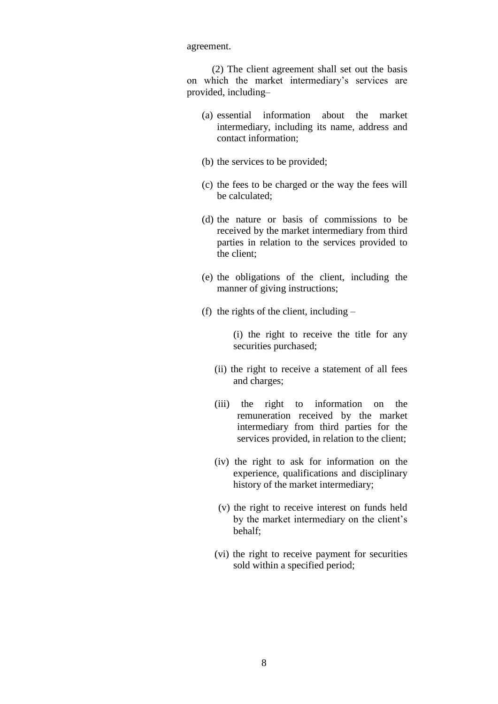agreement.

 (2) The client agreement shall set out the basis on which the market intermediary's services are provided, including–

- (a) essential information about the market intermediary, including its name, address and contact information;
- (b) the services to be provided;
- (c) the fees to be charged or the way the fees will be calculated;
- (d) the nature or basis of commissions to be received by the market intermediary from third parties in relation to the services provided to the client;
- (e) the obligations of the client, including the manner of giving instructions;
- (f) the rights of the client, including –

(i) the right to receive the title for any securities purchased;

- (ii) the right to receive a statement of all fees and charges;
- (iii) the right to information on the remuneration received by the market intermediary from third parties for the services provided, in relation to the client;
- (iv) the right to ask for information on the experience, qualifications and disciplinary history of the market intermediary;
- (v) the right to receive interest on funds held by the market intermediary on the client's behalf;
- (vi) the right to receive payment for securities sold within a specified period;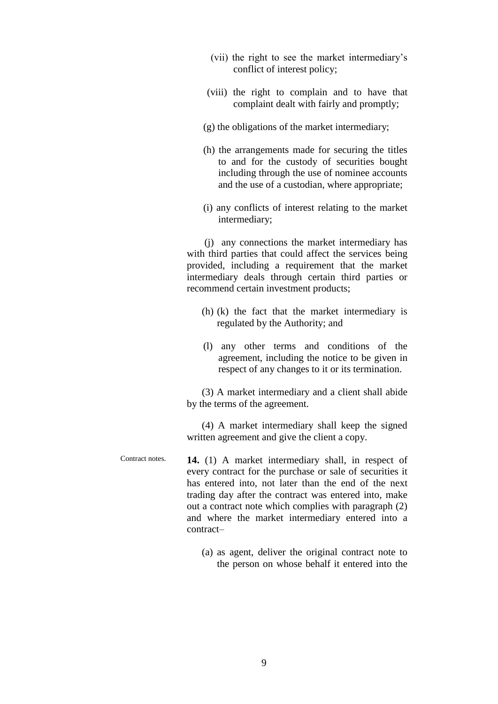- (vii) the right to see the market intermediary's conflict of interest policy;
- (viii) the right to complain and to have that complaint dealt with fairly and promptly;
- (g) the obligations of the market intermediary;
- (h) the arrangements made for securing the titles to and for the custody of securities bought including through the use of nominee accounts and the use of a custodian, where appropriate;
- (i) any conflicts of interest relating to the market intermediary;

 (j) any connections the market intermediary has with third parties that could affect the services being provided, including a requirement that the market intermediary deals through certain third parties or recommend certain investment products;

- (h) (k) the fact that the market intermediary is regulated by the Authority; and
- (l) any other terms and conditions of the agreement, including the notice to be given in respect of any changes to it or its termination.

 (3) A market intermediary and a client shall abide by the terms of the agreement.

 (4) A market intermediary shall keep the signed written agreement and give the client a copy.

Contract notes. **14.** (1) A market intermediary shall, in respect of every contract for the purchase or sale of securities it has entered into, not later than the end of the next trading day after the contract was entered into, make out a contract note which complies with paragraph (2) and where the market intermediary entered into a contract–

> (a) as agent, deliver the original contract note to the person on whose behalf it entered into the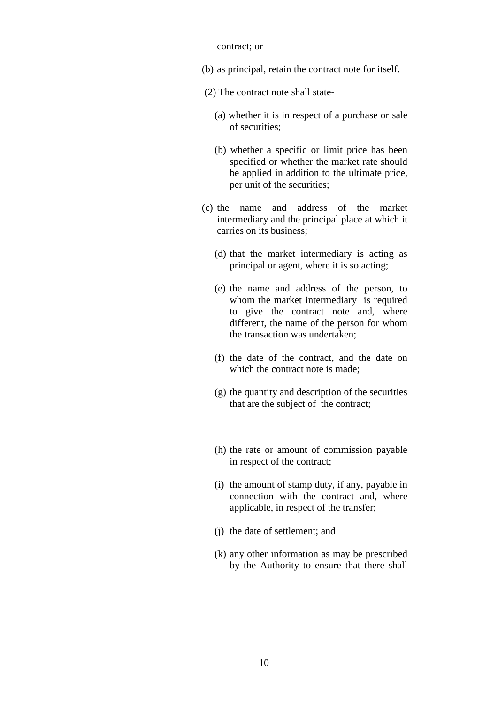## contract; or

- (b) as principal, retain the contract note for itself.
- (2) The contract note shall state-
	- (a) whether it is in respect of a purchase or sale of securities;
	- (b) whether a specific or limit price has been specified or whether the market rate should be applied in addition to the ultimate price, per unit of the securities;
- (c) the name and address of the market intermediary and the principal place at which it carries on its business;
	- (d) that the market intermediary is acting as principal or agent, where it is so acting;
	- (e) the name and address of the person, to whom the market intermediary is required to give the contract note and, where different, the name of the person for whom the transaction was undertaken;
	- (f) the date of the contract, and the date on which the contract note is made;
	- (g) the quantity and description of the securities that are the subject of the contract;
	- (h) the rate or amount of commission payable in respect of the contract;
	- (i) the amount of stamp duty, if any, payable in connection with the contract and, where applicable, in respect of the transfer;
	- (j) the date of settlement; and
	- (k) any other information as may be prescribed by the Authority to ensure that there shall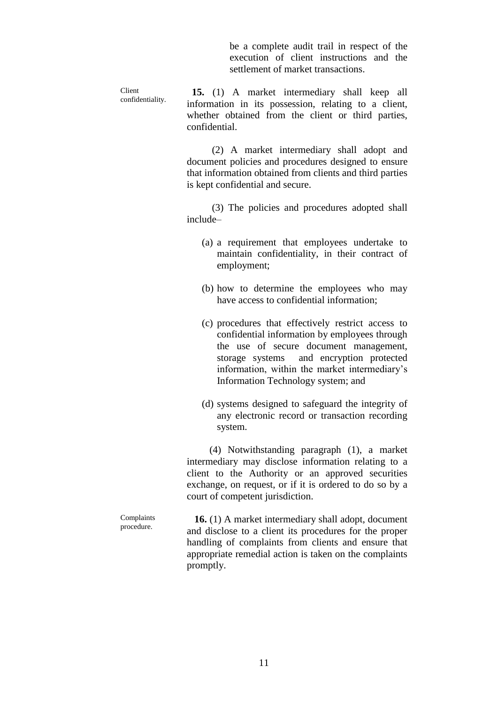be a complete audit trail in respect of the execution of client instructions and the settlement of market transactions.

Client confidentiality.  **15.** (1) A market intermediary shall keep all information in its possession, relating to a client, whether obtained from the client or third parties, confidential.

> (2) A market intermediary shall adopt and document policies and procedures designed to ensure that information obtained from clients and third parties is kept confidential and secure.

> (3) The policies and procedures adopted shall include–

- (a) a requirement that employees undertake to maintain confidentiality, in their contract of employment;
- (b) how to determine the employees who may have access to confidential information;
- (c) procedures that effectively restrict access to confidential information by employees through the use of secure document management, storage systems and encryption protected information, within the market intermediary's Information Technology system; and
- (d) systems designed to safeguard the integrity of any electronic record or transaction recording system.

 (4) Notwithstanding paragraph (1), a market intermediary may disclose information relating to a client to the Authority or an approved securities exchange, on request, or if it is ordered to do so by a court of competent jurisdiction.

Complaints procedure.  **16.** (1) A market intermediary shall adopt, document and disclose to a client its procedures for the proper handling of complaints from clients and ensure that appropriate remedial action is taken on the complaints promptly.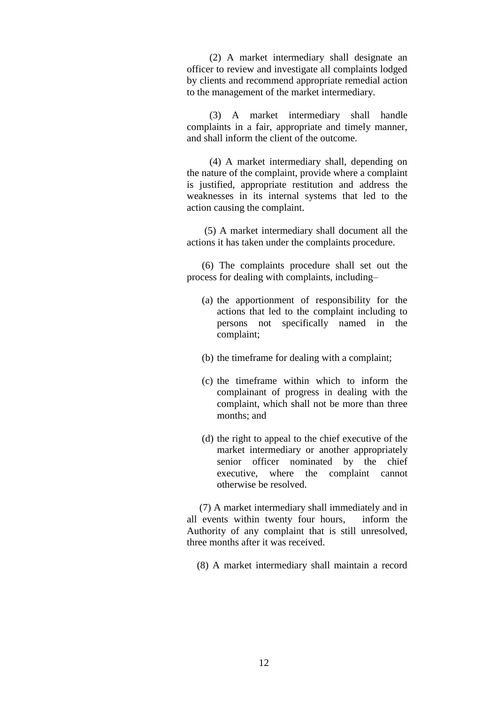(2) A market intermediary shall designate an officer to review and investigate all complaints lodged by clients and recommend appropriate remedial action to the management of the market intermediary.

 (3) A market intermediary shall handle complaints in a fair, appropriate and timely manner, and shall inform the client of the outcome.

 (4) A market intermediary shall, depending on the nature of the complaint, provide where a complaint is justified, appropriate restitution and address the weaknesses in its internal systems that led to the action causing the complaint.

 (5) A market intermediary shall document all the actions it has taken under the complaints procedure.

 (6) The complaints procedure shall set out the process for dealing with complaints, including–

- (a) the apportionment of responsibility for the actions that led to the complaint including to persons not specifically named in the complaint;
- (b) the timeframe for dealing with a complaint;
- (c) the timeframe within which to inform the complainant of progress in dealing with the complaint, which shall not be more than three months; and
- (d) the right to appeal to the chief executive of the market intermediary or another appropriately senior officer nominated by the chief executive, where the complaint cannot otherwise be resolved.

 (7) A market intermediary shall immediately and in all events within twenty four hours, inform the Authority of any complaint that is still unresolved, three months after it was received.

(8) A market intermediary shall maintain a record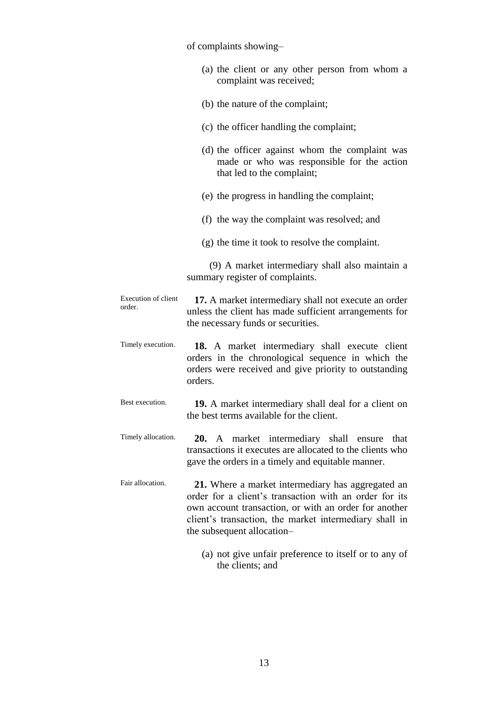of complaints showing–

|  |                         |  | (a) the client or any other person from whom a |  |  |
|--|-------------------------|--|------------------------------------------------|--|--|
|  | complaint was received; |  |                                                |  |  |

- (b) the nature of the complaint;
- (c) the officer handling the complaint;
- (d) the officer against whom the complaint was made or who was responsible for the action that led to the complaint;
- (e) the progress in handling the complaint;
- (f) the way the complaint was resolved; and
- (g) the time it took to resolve the complaint.

 (9) A market intermediary shall also maintain a summary register of complaints.

Execution of client order.  **17.** A market intermediary shall not execute an order unless the client has made sufficient arrangements for the necessary funds or securities.

- Timely execution.  **18.** A market intermediary shall execute client orders in the chronological sequence in which the orders were received and give priority to outstanding orders.
- Best execution.  **19.** A market intermediary shall deal for a client on the best terms available for the client.
- Timely allocation.  **20.** A market intermediary shall ensure that transactions it executes are allocated to the clients who gave the orders in a timely and equitable manner.
- Fair allocation.  **21.** Where a market intermediary has aggregated an order for a client's transaction with an order for its own account transaction, or with an order for another client's transaction, the market intermediary shall in the subsequent allocation–
	- (a) not give unfair preference to itself or to any of the clients; and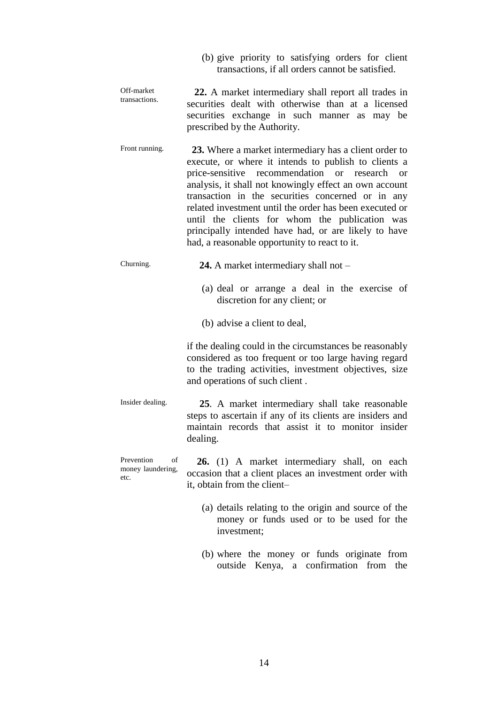|                                               | (b) give priority to satisfying orders for client<br>transactions, if all orders cannot be satisfied.                                                                                                                                                                                                                                                                                                                                                                                               |
|-----------------------------------------------|-----------------------------------------------------------------------------------------------------------------------------------------------------------------------------------------------------------------------------------------------------------------------------------------------------------------------------------------------------------------------------------------------------------------------------------------------------------------------------------------------------|
| Off-market<br>transactions.                   | 22. A market intermediary shall report all trades in<br>securities dealt with otherwise than at a licensed<br>securities exchange in such manner as may be<br>prescribed by the Authority.                                                                                                                                                                                                                                                                                                          |
| Front running.                                | 23. Where a market intermediary has a client order to<br>execute, or where it intends to publish to clients a<br>price-sensitive recommendation or research or<br>analysis, it shall not knowingly effect an own account<br>transaction in the securities concerned or in any<br>related investment until the order has been executed or<br>until the clients for whom the publication was<br>principally intended have had, or are likely to have<br>had, a reasonable opportunity to react to it. |
| Churning.                                     | <b>24.</b> A market intermediary shall not $-$                                                                                                                                                                                                                                                                                                                                                                                                                                                      |
|                                               | (a) deal or arrange a deal in the exercise of<br>discretion for any client; or                                                                                                                                                                                                                                                                                                                                                                                                                      |
|                                               | (b) advise a client to deal,                                                                                                                                                                                                                                                                                                                                                                                                                                                                        |
|                                               | if the dealing could in the circumstances be reasonably<br>considered as too frequent or too large having regard<br>to the trading activities, investment objectives, size<br>and operations of such client.                                                                                                                                                                                                                                                                                        |
| Insider dealing.                              | 25. A market intermediary shall take reasonable<br>steps to ascertain if any of its clients are insiders and<br>maintain records that assist it to monitor insider<br>dealing.                                                                                                                                                                                                                                                                                                                      |
| Prevention<br>of<br>money laundering,<br>etc. | <b>26.</b> (1) A market intermediary shall, on each<br>occasion that a client places an investment order with<br>it, obtain from the client-                                                                                                                                                                                                                                                                                                                                                        |
|                                               | (a) details relating to the origin and source of the<br>money or funds used or to be used for the<br>investment;                                                                                                                                                                                                                                                                                                                                                                                    |

(b) where the money or funds originate from outside Kenya, a confirmation from the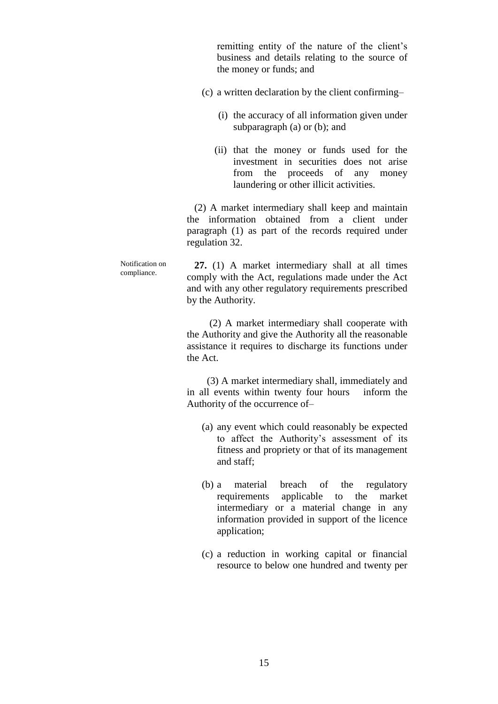remitting entity of the nature of the client's business and details relating to the source of the money or funds; and

- (c) a written declaration by the client confirming–
	- (i) the accuracy of all information given under subparagraph (a) or (b); and
	- (ii) that the money or funds used for the investment in securities does not arise from the proceeds of any money laundering or other illicit activities.

 (2) A market intermediary shall keep and maintain the information obtained from a client under paragraph (1) as part of the records required under regulation 32.

 **27.** (1) A market intermediary shall at all times comply with the Act, regulations made under the Act and with any other regulatory requirements prescribed by the Authority.

> (2) A market intermediary shall cooperate with the Authority and give the Authority all the reasonable assistance it requires to discharge its functions under the Act.

> (3) A market intermediary shall, immediately and in all events within twenty four hours inform the Authority of the occurrence of–

- (a) any event which could reasonably be expected to affect the Authority's assessment of its fitness and propriety or that of its management and staff;
- (b) a material breach of the regulatory requirements applicable to the market intermediary or a material change in any information provided in support of the licence application;
- (c) a reduction in working capital or financial resource to below one hundred and twenty per

Notification on compliance.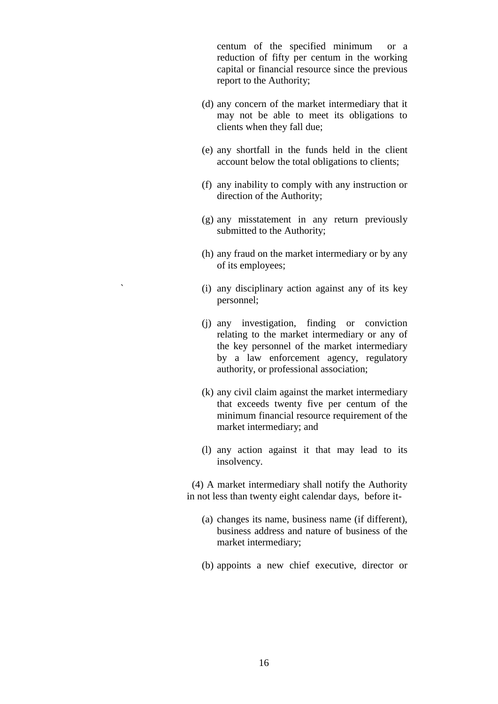centum of the specified minimum or a reduction of fifty per centum in the working capital or financial resource since the previous report to the Authority;

- (d) any concern of the market intermediary that it may not be able to meet its obligations to clients when they fall due;
- (e) any shortfall in the funds held in the client account below the total obligations to clients;
- (f) any inability to comply with any instruction or direction of the Authority;
- (g) any misstatement in any return previously submitted to the Authority;
- (h) any fraud on the market intermediary or by any of its employees;
- ` (i) any disciplinary action against any of its key personnel;
- (j) any investigation, finding or conviction relating to the market intermediary or any of the key personnel of the market intermediary by a law enforcement agency, regulatory authority, or professional association;
- (k) any civil claim against the market intermediary that exceeds twenty five per centum of the minimum financial resource requirement of the market intermediary; and
- (l) any action against it that may lead to its insolvency.

 (4) A market intermediary shall notify the Authority in not less than twenty eight calendar days, before it-

- (a) changes its name, business name (if different), business address and nature of business of the market intermediary;
- (b) appoints a new chief executive, director or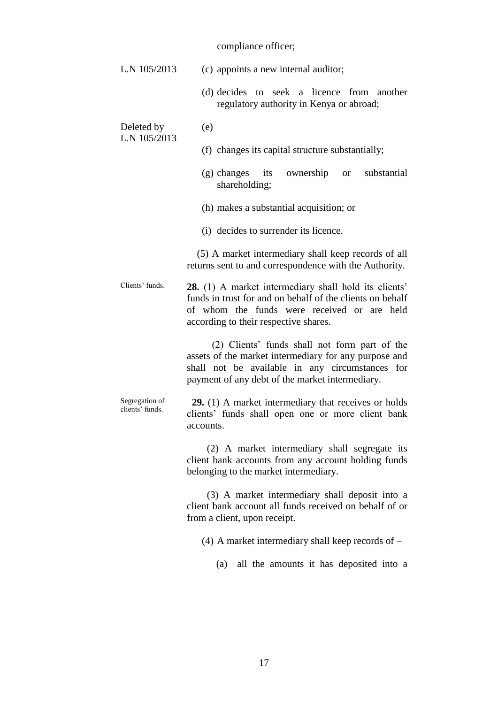## compliance officer;

| L.N 105/2013                      | (c) appoints a new internal auditor;                                                                                                                                                                              |
|-----------------------------------|-------------------------------------------------------------------------------------------------------------------------------------------------------------------------------------------------------------------|
|                                   | (d) decides to seek a licence from another<br>regulatory authority in Kenya or abroad;                                                                                                                            |
| Deleted by<br>L.N 105/2013        | (e)                                                                                                                                                                                                               |
|                                   | (f) changes its capital structure substantially;                                                                                                                                                                  |
|                                   | substantial<br>$(g)$ changes<br>ownership<br>its<br><sub>or</sub><br>shareholding;                                                                                                                                |
|                                   | (h) makes a substantial acquisition; or                                                                                                                                                                           |
|                                   | (i) decides to surrender its licence.                                                                                                                                                                             |
|                                   | (5) A market intermediary shall keep records of all<br>returns sent to and correspondence with the Authority.                                                                                                     |
| Clients' funds.                   | <b>28.</b> (1) A market intermediary shall hold its clients'<br>funds in trust for and on behalf of the clients on behalf<br>of whom the funds were received or are held<br>according to their respective shares. |
|                                   | (2) Clients' funds shall not form part of the<br>assets of the market intermediary for any purpose and<br>shall not be available in any circumstances for<br>payment of any debt of the market intermediary.      |
| Segregation of<br>clients' funds. | <b>29.</b> (1) A market intermediary that receives or holds<br>clients' funds shall open one or more client bank<br>accounts.                                                                                     |
|                                   | (2) A market intermediary shall segregate its<br>client bank accounts from any account holding funds<br>belonging to the market intermediary.                                                                     |
|                                   | (3) A market intermediary shall deposit into a<br>client bank account all funds received on behalf of or<br>from a client, upon receipt.                                                                          |
|                                   | $(4)$ A market intermediary shall keep records of $-$                                                                                                                                                             |
|                                   | all the amounts it has deposited into a<br>(a)                                                                                                                                                                    |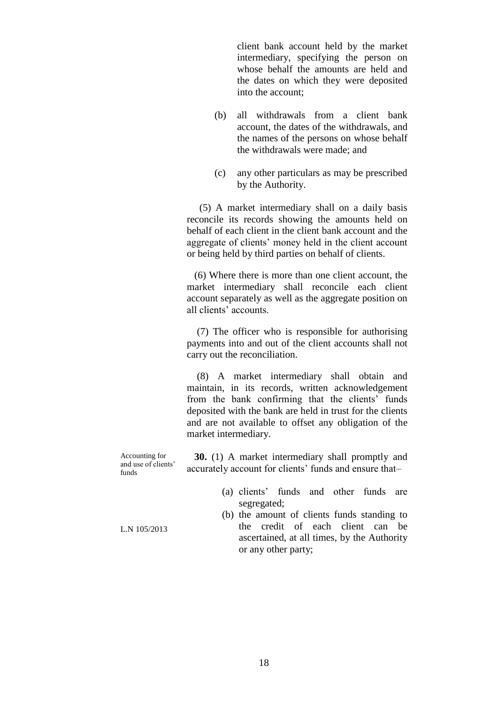client bank account held by the market intermediary, specifying the person on whose behalf the amounts are held and the dates on which they were deposited into the account;

- (b) all withdrawals from a client bank account, the dates of the withdrawals, and the names of the persons on whose behalf the withdrawals were made; and
- (c) any other particulars as may be prescribed by the Authority.

 (5) A market intermediary shall on a daily basis reconcile its records showing the amounts held on behalf of each client in the client bank account and the aggregate of clients' money held in the client account or being held by third parties on behalf of clients.

 (6) Where there is more than one client account, the market intermediary shall reconcile each client account separately as well as the aggregate position on all clients' accounts.

 (7) The officer who is responsible for authorising payments into and out of the client accounts shall not carry out the reconciliation.

 (8) A market intermediary shall obtain and maintain, in its records, written acknowledgement from the bank confirming that the clients' funds deposited with the bank are held in trust for the clients and are not available to offset any obligation of the market intermediary.

Accounting for and use of clients' funds  **30.** (1) A market intermediary shall promptly and accurately account for clients' funds and ensure that–

- (a) clients' funds and other funds are segregated;
- (b) the amount of clients funds standing to the credit of each client can be ascertained, at all times, by the Authority or any other party;

L.N 105/2013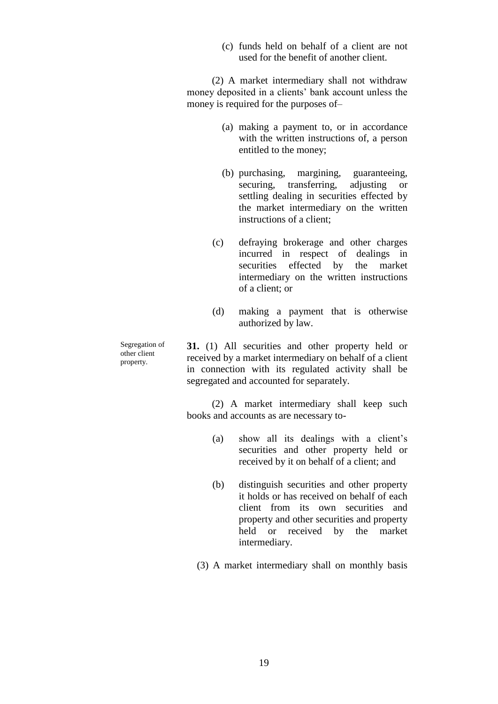(c) funds held on behalf of a client are not used for the benefit of another client.

 (2) A market intermediary shall not withdraw money deposited in a clients' bank account unless the money is required for the purposes of–

- (a) making a payment to, or in accordance with the written instructions of, a person entitled to the money;
- (b) purchasing, margining, guaranteeing, securing, transferring, adjusting or settling dealing in securities effected by the market intermediary on the written instructions of a client;
- (c) defraying brokerage and other charges incurred in respect of dealings in securities effected by the market intermediary on the written instructions of a client; or
- (d) making a payment that is otherwise authorized by law.

Segregation of other client property.

**31.** (1) All securities and other property held or received by a market intermediary on behalf of a client in connection with its regulated activity shall be segregated and accounted for separately.

 (2) A market intermediary shall keep such books and accounts as are necessary to-

- (a) show all its dealings with a client's securities and other property held or received by it on behalf of a client; and
- (b) distinguish securities and other property it holds or has received on behalf of each client from its own securities and property and other securities and property held or received by the market intermediary.
- (3) A market intermediary shall on monthly basis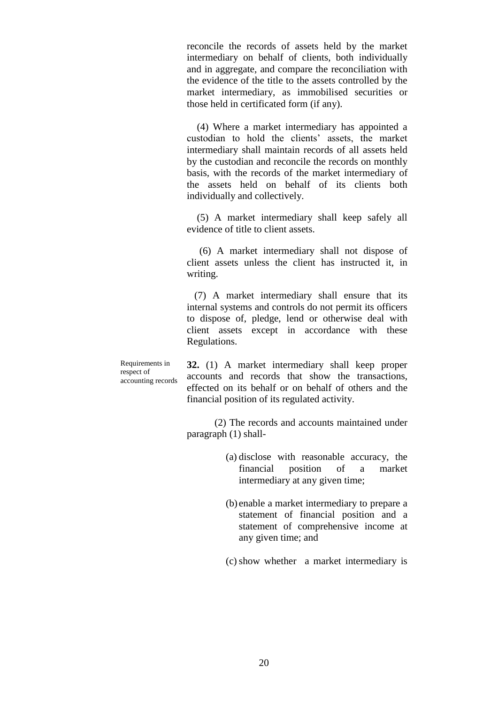reconcile the records of assets held by the market intermediary on behalf of clients, both individually and in aggregate, and compare the reconciliation with the evidence of the title to the assets controlled by the market intermediary, as immobilised securities or those held in certificated form (if any).

 (4) Where a market intermediary has appointed a custodian to hold the clients' assets, the market intermediary shall maintain records of all assets held by the custodian and reconcile the records on monthly basis, with the records of the market intermediary of the assets held on behalf of its clients both individually and collectively.

 (5) A market intermediary shall keep safely all evidence of title to client assets.

 (6) A market intermediary shall not dispose of client assets unless the client has instructed it, in writing.

 (7) A market intermediary shall ensure that its internal systems and controls do not permit its officers to dispose of, pledge, lend or otherwise deal with client assets except in accordance with these Regulations.

Requirements in respect of accounting records **32.** (1) A market intermediary shall keep proper accounts and records that show the transactions, effected on its behalf or on behalf of others and the financial position of its regulated activity.

(2) The records and accounts maintained under paragraph (1) shall-

- (a) disclose with reasonable accuracy, the financial position of a market intermediary at any given time;
- (b) enable a market intermediary to prepare a statement of financial position and a statement of comprehensive income at any given time; and

(c) show whether a market intermediary is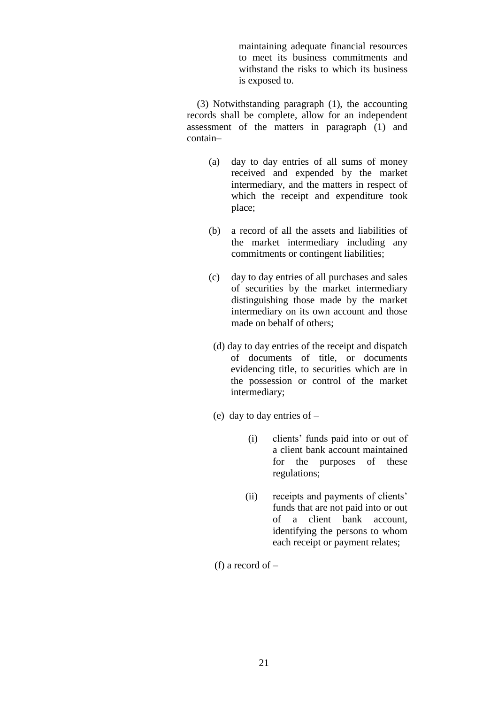maintaining adequate financial resources to meet its business commitments and withstand the risks to which its business is exposed to.

 (3) Notwithstanding paragraph (1), the accounting records shall be complete, allow for an independent assessment of the matters in paragraph (1) and contain–

- (a) day to day entries of all sums of money received and expended by the market intermediary, and the matters in respect of which the receipt and expenditure took place;
- (b) a record of all the assets and liabilities of the market intermediary including any commitments or contingent liabilities;
- (c) day to day entries of all purchases and sales of securities by the market intermediary distinguishing those made by the market intermediary on its own account and those made on behalf of others;
	- (d) day to day entries of the receipt and dispatch of documents of title, or documents evidencing title, to securities which are in the possession or control of the market intermediary;
- (e) day to day entries of
	- (i) clients' funds paid into or out of a client bank account maintained for the purposes of these regulations;
	- (ii) receipts and payments of clients' funds that are not paid into or out of a client bank account, identifying the persons to whom each receipt or payment relates;

(f) a record of –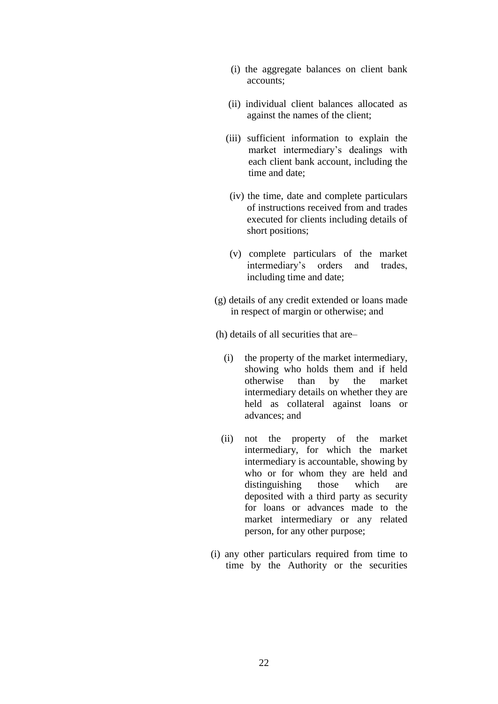- (i) the aggregate balances on client bank accounts;
- (ii) individual client balances allocated as against the names of the client;
- (iii) sufficient information to explain the market intermediary's dealings with each client bank account, including the time and date;
- (iv) the time, date and complete particulars of instructions received from and trades executed for clients including details of short positions;
- (v) complete particulars of the market intermediary's orders and trades, including time and date;
- (g) details of any credit extended or loans made in respect of margin or otherwise; and

(h) details of all securities that are–

- (i) the property of the market intermediary, showing who holds them and if held otherwise than by the market intermediary details on whether they are held as collateral against loans or advances; and
- (ii) not the property of the market intermediary, for which the market intermediary is accountable, showing by who or for whom they are held and distinguishing those which are deposited with a third party as security for loans or advances made to the market intermediary or any related person, for any other purpose;
- (i) any other particulars required from time to time by the Authority or the securities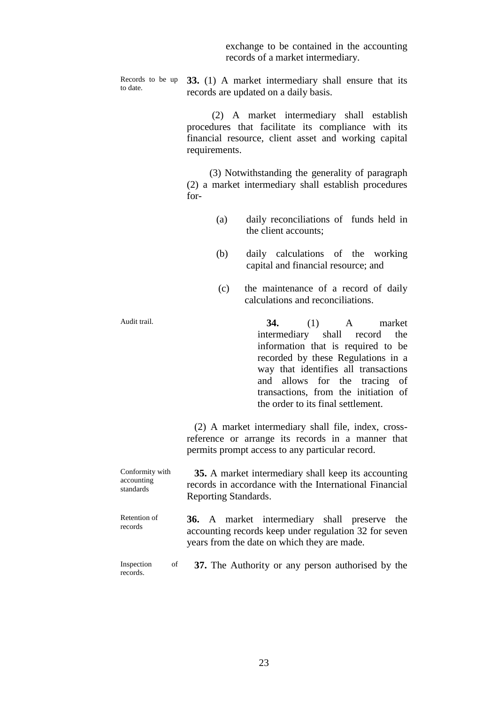exchange to be contained in the accounting records of a market intermediary.

Records to be up to date.

**33.** (1) A market intermediary shall ensure that its records are updated on a daily basis.

 (2) A market intermediary shall establish procedures that facilitate its compliance with its financial resource, client asset and working capital requirements.

 (3) Notwithstanding the generality of paragraph (2) a market intermediary shall establish procedures for-

- (a) daily reconciliations of funds held in the client accounts;
- (b) daily calculations of the working capital and financial resource; and
- (c) the maintenance of a record of daily calculations and reconciliations.

Audit trail. **34.** (1) A market intermediary shall record the information that is required to be recorded by these Regulations in a way that identifies all transactions and allows for the tracing of transactions, from the initiation of the order to its final settlement.

> (2) A market intermediary shall file, index, crossreference or arrange its records in a manner that permits prompt access to any particular record.

| Conformity with | 35. A market intermediary shall keep its accounting    |
|-----------------|--------------------------------------------------------|
| accounting      | records in accordance with the International Financial |
| standards       | Reporting Standards.                                   |
| Retention of    | <b>36.</b> A market intermediary shall preserve the    |
| records         | accounting records keep under regulation 32 for seven  |

Inspection of records.  **37.** The Authority or any person authorised by the

years from the date on which they are made.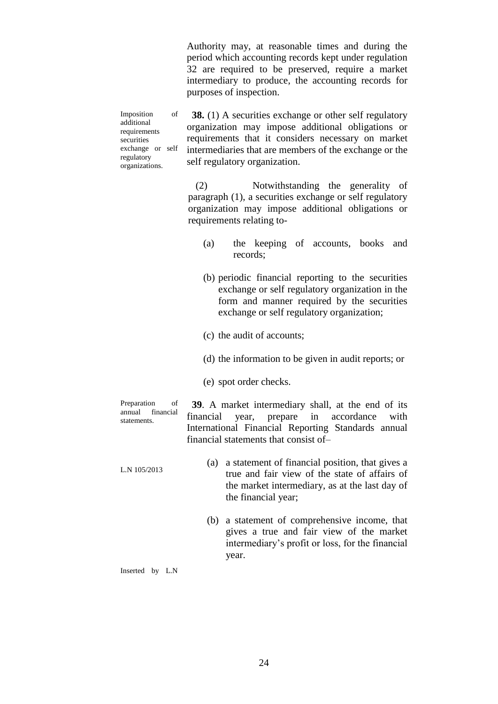Authority may, at reasonable times and during the period which accounting records kept under regulation 32 are required to be preserved, require a market intermediary to produce, the accounting records for purposes of inspection.

Imposition of additional requirements securities exchange or self regulatory organizations.

**38.** (1) A securities exchange or other self regulatory organization may impose additional obligations or requirements that it considers necessary on market intermediaries that are members of the exchange or the self regulatory organization.

(2) Notwithstanding the generality of paragraph (1), a securities exchange or self regulatory organization may impose additional obligations or requirements relating to-

- (a) the keeping of accounts, books and records;
- (b) periodic financial reporting to the securities exchange or self regulatory organization in the form and manner required by the securities exchange or self regulatory organization;
- (c) the audit of accounts;
- (d) the information to be given in audit reports; or
- (e) spot order checks.

Preparation of annual financial statements.

 **39**. A market intermediary shall, at the end of its financial year, prepare in accordance with International Financial Reporting Standards annual financial statements that consist of–

- L.N 105/2013 (a) a statement of financial position, that gives a true and fair view of the state of affairs of the market intermediary, as at the last day of the financial year;
	- (b) a statement of comprehensive income, that gives a true and fair view of the market intermediary's profit or loss, for the financial year.

Inserted by L.N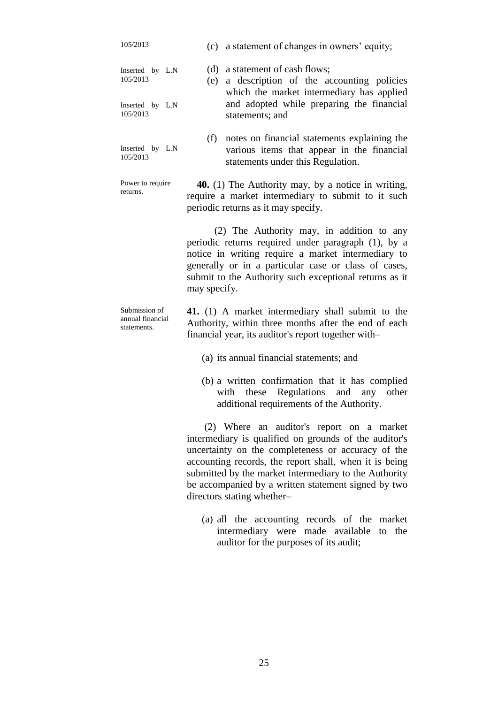| 105/2013                                         | (c) a statement of changes in owners' equity;                                                                                                                                                                                                                                                                                                                    |
|--------------------------------------------------|------------------------------------------------------------------------------------------------------------------------------------------------------------------------------------------------------------------------------------------------------------------------------------------------------------------------------------------------------------------|
| Inserted by L.N<br>105/2013                      | a statement of cash flows;<br>(d)<br>a description of the accounting policies<br>(e)<br>which the market intermediary has applied                                                                                                                                                                                                                                |
| Inserted by L.N<br>105/2013                      | and adopted while preparing the financial<br>statements; and                                                                                                                                                                                                                                                                                                     |
| Inserted by L.N<br>105/2013                      | (f)<br>notes on financial statements explaining the<br>various items that appear in the financial<br>statements under this Regulation.                                                                                                                                                                                                                           |
| Power to require<br>returns.                     | 40. (1) The Authority may, by a notice in writing,<br>require a market intermediary to submit to it such<br>periodic returns as it may specify.                                                                                                                                                                                                                  |
|                                                  | (2) The Authority may, in addition to any<br>periodic returns required under paragraph (1), by a<br>notice in writing require a market intermediary to<br>generally or in a particular case or class of cases,<br>submit to the Authority such exceptional returns as it<br>may specify.                                                                         |
| Submission of<br>annual financial<br>statements. | 41. (1) A market intermediary shall submit to the<br>Authority, within three months after the end of each<br>financial year, its auditor's report together with-                                                                                                                                                                                                 |
|                                                  | (a) its annual financial statements; and                                                                                                                                                                                                                                                                                                                         |
|                                                  | (b) a written confirmation that it has complied<br>with these Regulations and any<br>other<br>additional requirements of the Authority.                                                                                                                                                                                                                          |
|                                                  | (2) Where an auditor's report on a market<br>intermediary is qualified on grounds of the auditor's<br>uncertainty on the completeness or accuracy of the<br>accounting records, the report shall, when it is being<br>submitted by the market intermediary to the Authority<br>be accompanied by a written statement signed by two<br>directors stating whether- |

(a) all the accounting records of the market intermediary were made available to the auditor for the purposes of its audit;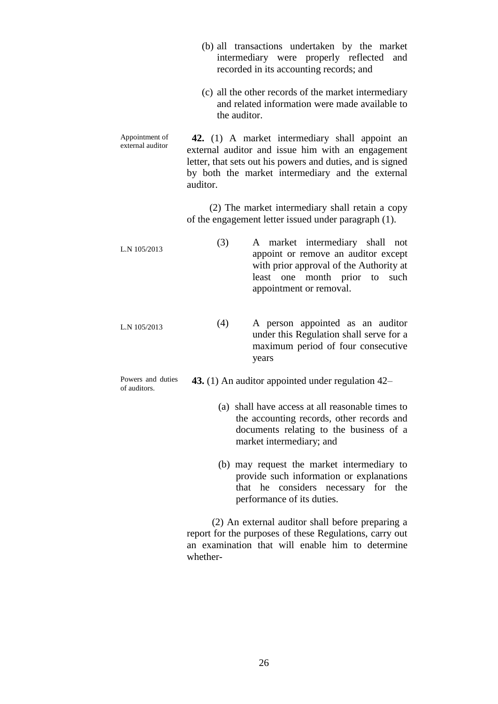|                                    | (b) all transactions undertaken by the market<br>intermediary were properly reflected<br>and<br>recorded in its accounting records; and                                                                                           |
|------------------------------------|-----------------------------------------------------------------------------------------------------------------------------------------------------------------------------------------------------------------------------------|
|                                    | (c) all the other records of the market intermediary<br>and related information were made available to<br>the auditor.                                                                                                            |
| Appointment of<br>external auditor | 42. (1) A market intermediary shall appoint an<br>external auditor and issue him with an engagement<br>letter, that sets out his powers and duties, and is signed<br>by both the market intermediary and the external<br>auditor. |
|                                    | (2) The market intermediary shall retain a copy<br>of the engagement letter issued under paragraph (1).                                                                                                                           |
| L.N 105/2013                       | (3)<br>A market intermediary shall not<br>appoint or remove an auditor except<br>with prior approval of the Authority at<br>least one month prior to<br>such<br>appointment or removal.                                           |
| L.N 105/2013                       | A person appointed as an auditor<br>(4)<br>under this Regulation shall serve for a<br>maximum period of four consecutive<br>years                                                                                                 |
| Powers and duties<br>of auditors.  | 43. (1) An auditor appointed under regulation 42–                                                                                                                                                                                 |
|                                    | (a) shall have access at all reasonable times to<br>the accounting records, other records and<br>documents relating to the business of a<br>market intermediary; and                                                              |
|                                    | (b) may request the market intermediary to<br>provide such information or explanations<br>considers<br>necessary for the<br>that he<br>performance of its duties.                                                                 |
|                                    | (2) An external auditor shall before preparing a<br>report for the purposes of these Regulations, carry out<br>an examination that will enable him to determine                                                                   |

whether-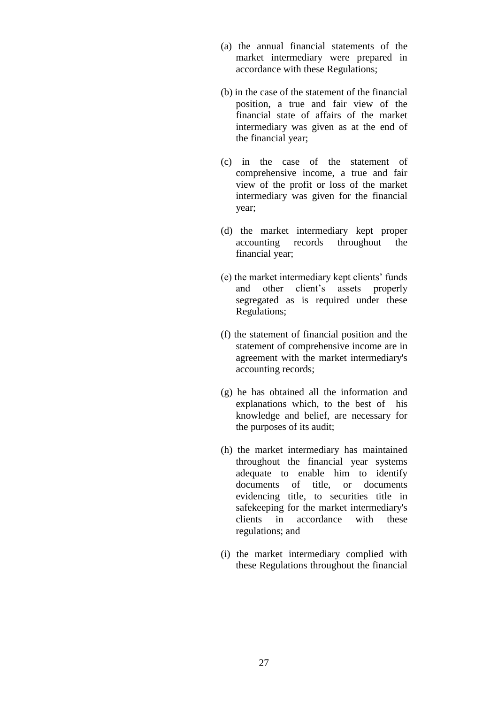- (a) the annual financial statements of the market intermediary were prepared in accordance with these Regulations;
- (b) in the case of the statement of the financial position, a true and fair view of the financial state of affairs of the market intermediary was given as at the end of the financial year;
- (c) in the case of the statement of comprehensive income, a true and fair view of the profit or loss of the market intermediary was given for the financial year;
- (d) the market intermediary kept proper accounting records throughout the financial year;
- (e) the market intermediary kept clients' funds and other client's assets properly segregated as is required under these Regulations;
- (f) the statement of financial position and the statement of comprehensive income are in agreement with the market intermediary's accounting records;
- (g) he has obtained all the information and explanations which, to the best of his knowledge and belief, are necessary for the purposes of its audit;
- (h) the market intermediary has maintained throughout the financial year systems adequate to enable him to identify documents of title, or documents evidencing title, to securities title in safekeeping for the market intermediary's clients in accordance with these regulations; and
- (i) the market intermediary complied with these Regulations throughout the financial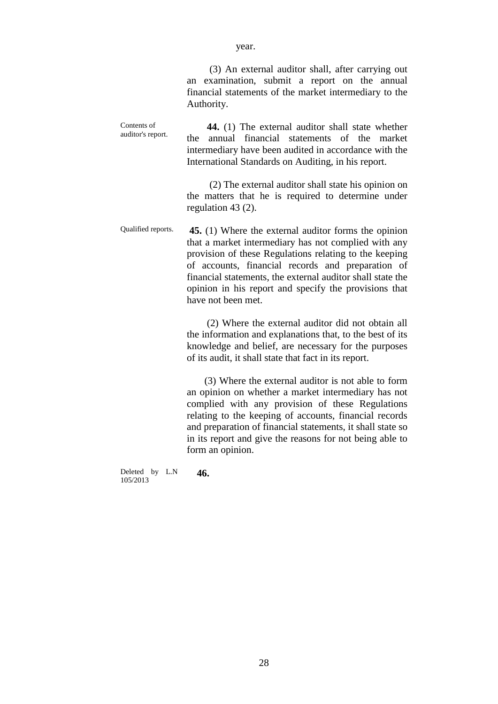(3) An external auditor shall, after carrying out an examination, submit a report on the annual financial statements of the market intermediary to the Authority.

Contents of auditor's report.  **44.** (1) The external auditor shall state whether the annual financial statements of the market intermediary have been audited in accordance with the International Standards on Auditing, in his report.

> (2) The external auditor shall state his opinion on the matters that he is required to determine under regulation 43 (2).

Qualified reports. **45.** (1) Where the external auditor forms the opinion that a market intermediary has not complied with any provision of these Regulations relating to the keeping of accounts, financial records and preparation of financial statements, the external auditor shall state the opinion in his report and specify the provisions that have not been met.

> (2) Where the external auditor did not obtain all the information and explanations that, to the best of its knowledge and belief, are necessary for the purposes of its audit, it shall state that fact in its report.

> (3) Where the external auditor is not able to form an opinion on whether a market intermediary has not complied with any provision of these Regulations relating to the keeping of accounts, financial records and preparation of financial statements, it shall state so in its report and give the reasons for not being able to form an opinion.

Deleted by L.N 105/2013  **46.**